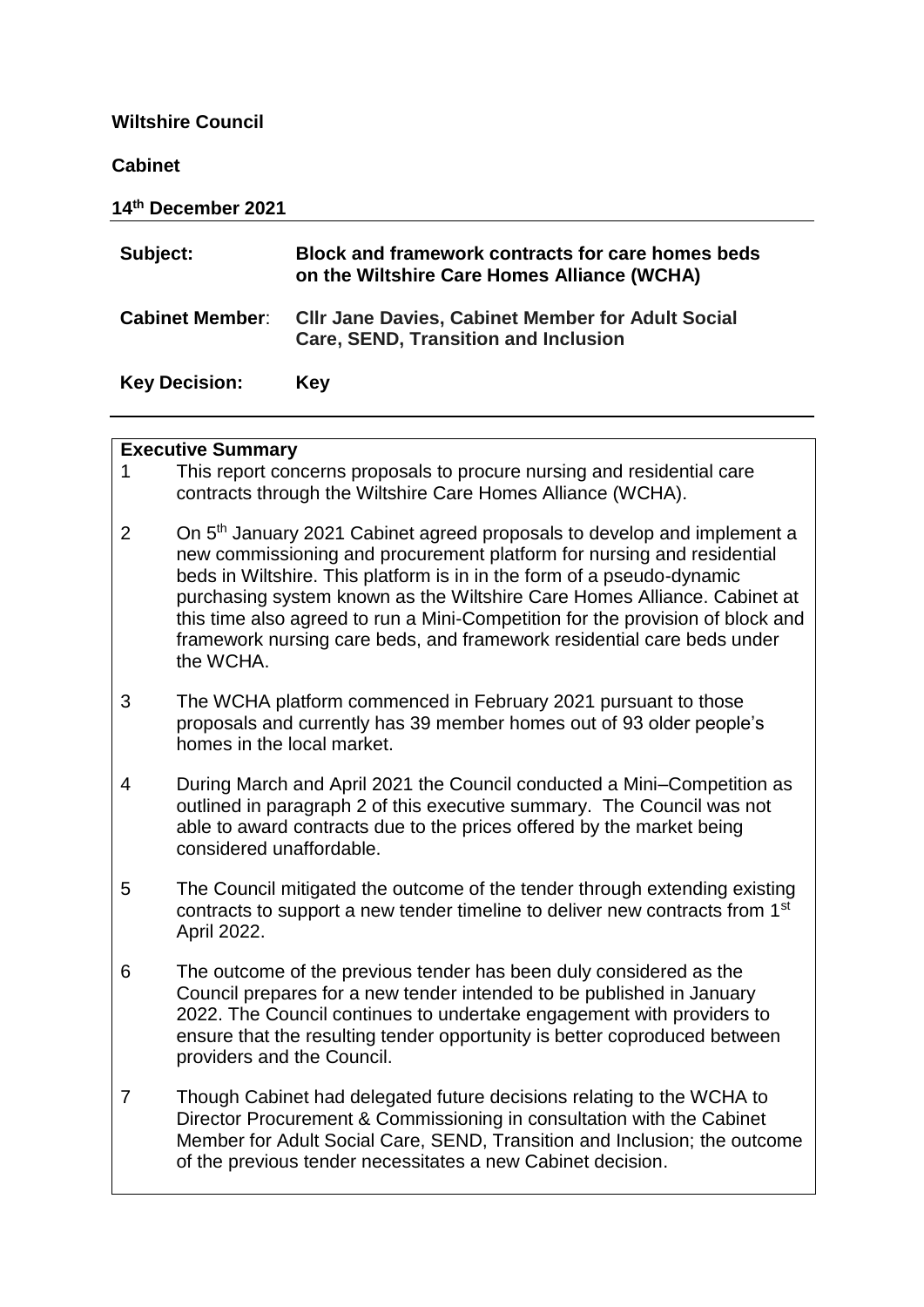## **Wiltshire Council**

#### **Cabinet**

| 14th December 2021     |                                                                                                         |
|------------------------|---------------------------------------------------------------------------------------------------------|
| Subject:               | Block and framework contracts for care homes beds<br>on the Wiltshire Care Homes Alliance (WCHA)        |
| <b>Cabinet Member:</b> | <b>CIIr Jane Davies, Cabinet Member for Adult Social</b><br><b>Care, SEND, Transition and Inclusion</b> |
| <b>Key Decision:</b>   | Key                                                                                                     |

## **Executive Summary**

- 1 This report concerns proposals to procure nursing and residential care contracts through the Wiltshire Care Homes Alliance (WCHA).
- 2 On 5<sup>th</sup> January 2021 Cabinet agreed proposals to develop and implement a new commissioning and procurement platform for nursing and residential beds in Wiltshire. This platform is in in the form of a pseudo-dynamic purchasing system known as the Wiltshire Care Homes Alliance. Cabinet at this time also agreed to run a Mini-Competition for the provision of block and framework nursing care beds, and framework residential care beds under the WCHA.
- 3 The WCHA platform commenced in February 2021 pursuant to those proposals and currently has 39 member homes out of 93 older people's homes in the local market.
- 4 During March and April 2021 the Council conducted a Mini–Competition as outlined in paragraph 2 of this executive summary. The Council was not able to award contracts due to the prices offered by the market being considered unaffordable.
- 5 The Council mitigated the outcome of the tender through extending existing contracts to support a new tender timeline to deliver new contracts from 1st April 2022.
- 6 The outcome of the previous tender has been duly considered as the Council prepares for a new tender intended to be published in January 2022. The Council continues to undertake engagement with providers to ensure that the resulting tender opportunity is better coproduced between providers and the Council.
- 7 Though Cabinet had delegated future decisions relating to the WCHA to Director Procurement & Commissioning in consultation with the Cabinet Member for Adult Social Care, SEND, Transition and Inclusion; the outcome of the previous tender necessitates a new Cabinet decision.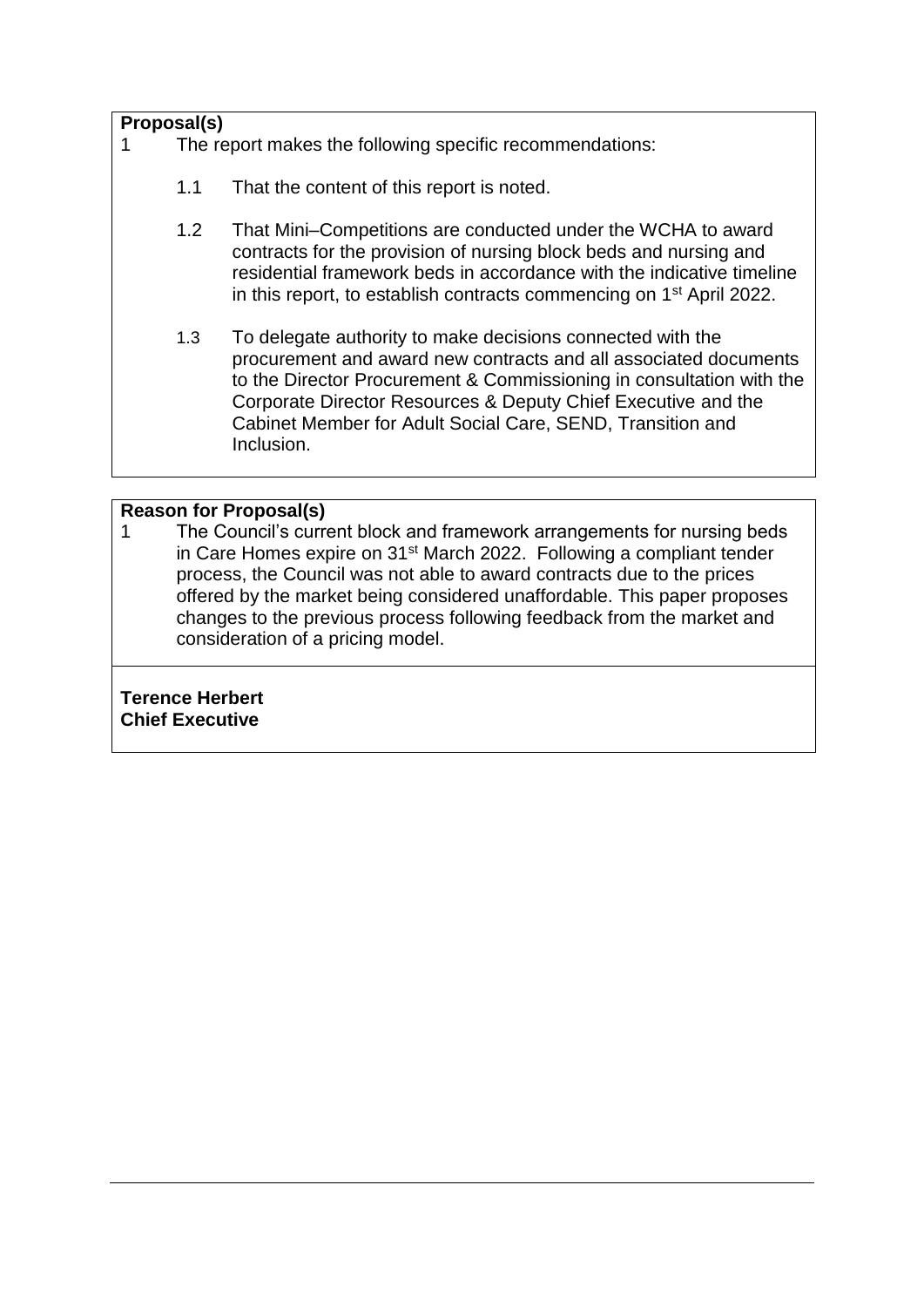# **Proposal(s)**

- 1 The report makes the following specific recommendations:
	- 1.1 That the content of this report is noted.
	- 1.2 That Mini–Competitions are conducted under the WCHA to award contracts for the provision of nursing block beds and nursing and residential framework beds in accordance with the indicative timeline in this report, to establish contracts commencing on 1st April 2022.
	- 1.3 To delegate authority to make decisions connected with the procurement and award new contracts and all associated documents to the Director Procurement & Commissioning in consultation with the Corporate Director Resources & Deputy Chief Executive and the Cabinet Member for Adult Social Care, SEND, Transition and Inclusion.

## **Reason for Proposal(s)**

1 The Council's current block and framework arrangements for nursing beds in Care Homes expire on 31st March 2022. Following a compliant tender process, the Council was not able to award contracts due to the prices offered by the market being considered unaffordable. This paper proposes changes to the previous process following feedback from the market and consideration of a pricing model.

**Terence Herbert Chief Executive**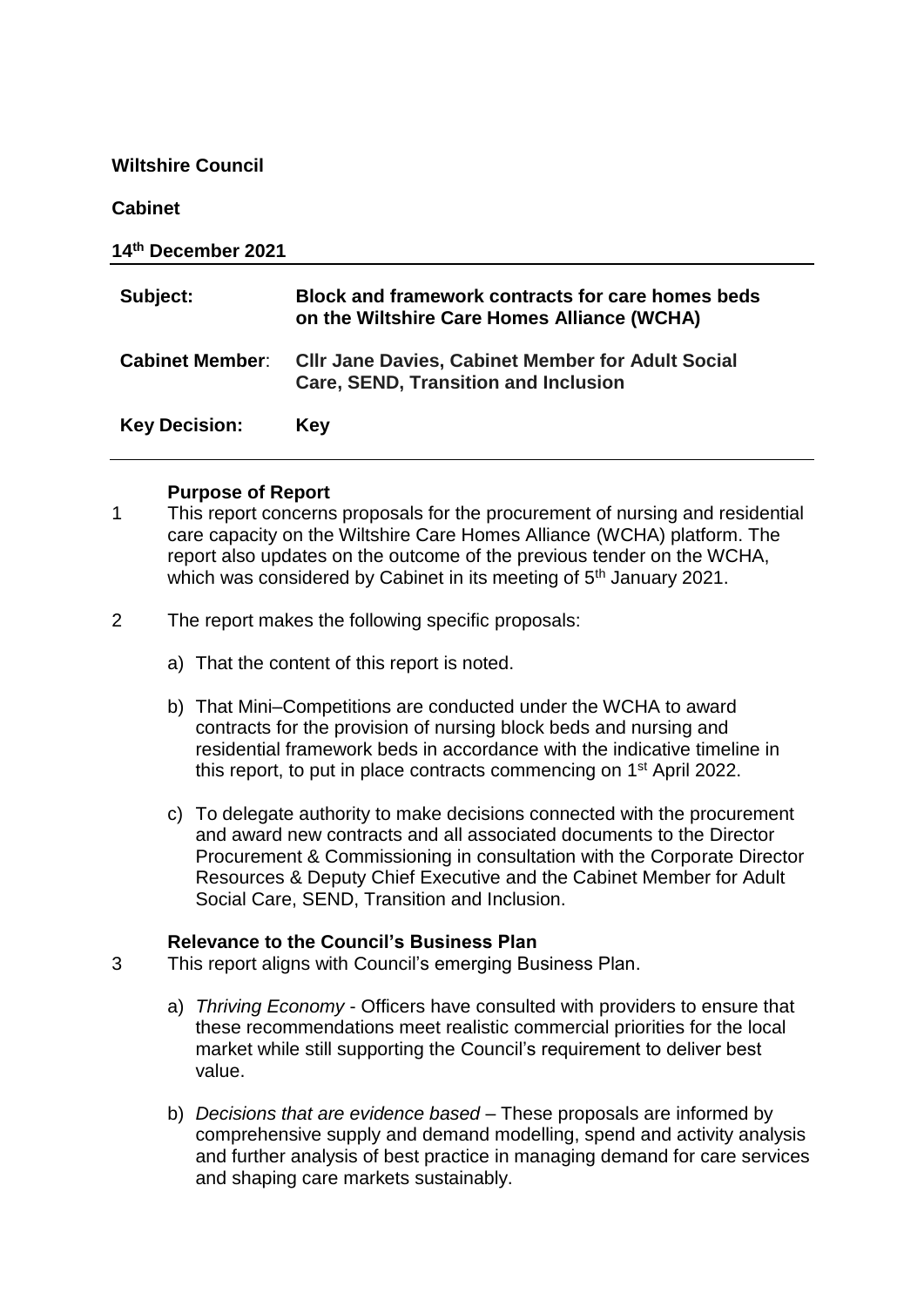**Wiltshire Council**

#### **Cabinet**

| 14th December 2021     |                                                                                                         |
|------------------------|---------------------------------------------------------------------------------------------------------|
| Subject:               | Block and framework contracts for care homes beds<br>on the Wiltshire Care Homes Alliance (WCHA)        |
| <b>Cabinet Member:</b> | <b>CIIr Jane Davies, Cabinet Member for Adult Social</b><br><b>Care, SEND, Transition and Inclusion</b> |
| <b>Key Decision:</b>   | Key                                                                                                     |

#### **Purpose of Report**

- 1 This report concerns proposals for the procurement of nursing and residential care capacity on the Wiltshire Care Homes Alliance (WCHA) platform. The report also updates on the outcome of the previous tender on the WCHA, which was considered by Cabinet in its meeting of 5<sup>th</sup> January 2021.
- 2 The report makes the following specific proposals:
	- a) That the content of this report is noted.
	- b) That Mini–Competitions are conducted under the WCHA to award contracts for the provision of nursing block beds and nursing and residential framework beds in accordance with the indicative timeline in this report, to put in place contracts commencing on 1st April 2022.
	- c) To delegate authority to make decisions connected with the procurement and award new contracts and all associated documents to the Director Procurement & Commissioning in consultation with the Corporate Director Resources & Deputy Chief Executive and the Cabinet Member for Adult Social Care, SEND, Transition and Inclusion.

## **Relevance to the Council's Business Plan**

- 3 This report aligns with Council's emerging Business Plan.
	- a) *Thriving Economy* Officers have consulted with providers to ensure that these recommendations meet realistic commercial priorities for the local market while still supporting the Council's requirement to deliver best value.
	- b) *Decisions that are evidence based* These proposals are informed by comprehensive supply and demand modelling, spend and activity analysis and further analysis of best practice in managing demand for care services and shaping care markets sustainably.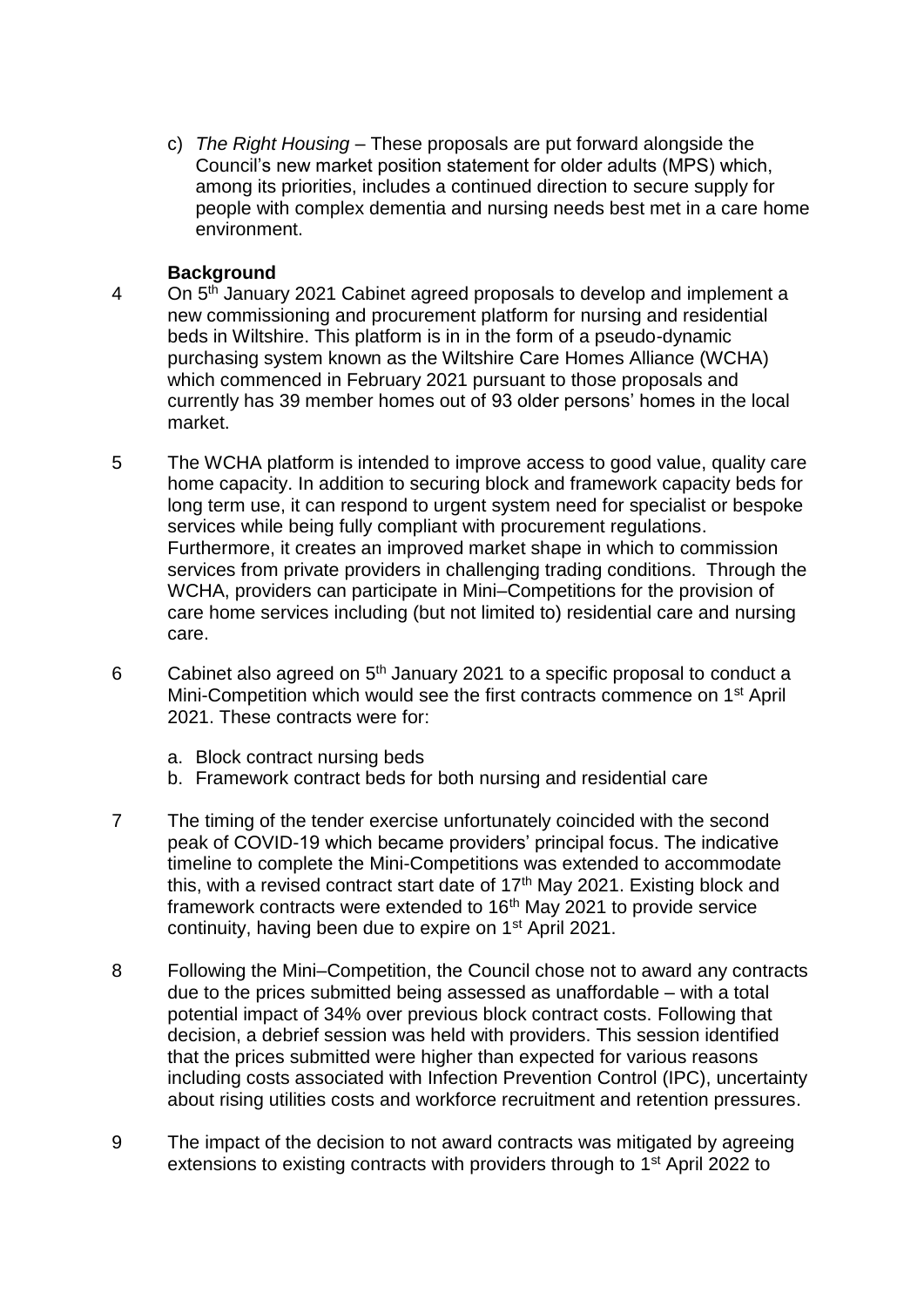c) *The Right Housing* – These proposals are put forward alongside the Council's new market position statement for older adults (MPS) which, among its priorities, includes a continued direction to secure supply for people with complex dementia and nursing needs best met in a care home environment.

## **Background**

- 4 On 5<sup>th</sup> January 2021 Cabinet agreed proposals to develop and implement a new commissioning and procurement platform for nursing and residential beds in Wiltshire. This platform is in in the form of a pseudo-dynamic purchasing system known as the Wiltshire Care Homes Alliance (WCHA) which commenced in February 2021 pursuant to those proposals and currently has 39 member homes out of 93 older persons' homes in the local market.
- 5 The WCHA platform is intended to improve access to good value, quality care home capacity. In addition to securing block and framework capacity beds for long term use, it can respond to urgent system need for specialist or bespoke services while being fully compliant with procurement regulations. Furthermore, it creates an improved market shape in which to commission services from private providers in challenging trading conditions. Through the WCHA, providers can participate in Mini–Competitions for the provision of care home services including (but not limited to) residential care and nursing care.
- 6 Cabinet also agreed on  $5<sup>th</sup>$  January 2021 to a specific proposal to conduct a Mini-Competition which would see the first contracts commence on 1st April 2021. These contracts were for:
	- a. Block contract nursing beds
	- b. Framework contract beds for both nursing and residential care
- 7 The timing of the tender exercise unfortunately coincided with the second peak of COVID-19 which became providers' principal focus. The indicative timeline to complete the Mini-Competitions was extended to accommodate this, with a revised contract start date of  $17<sup>th</sup>$  May 2021. Existing block and framework contracts were extended to 16<sup>th</sup> May 2021 to provide service continuity, having been due to expire on 1st April 2021.
- 8 Following the Mini–Competition, the Council chose not to award any contracts due to the prices submitted being assessed as unaffordable – with a total potential impact of 34% over previous block contract costs. Following that decision, a debrief session was held with providers. This session identified that the prices submitted were higher than expected for various reasons including costs associated with Infection Prevention Control (IPC), uncertainty about rising utilities costs and workforce recruitment and retention pressures.
- 9 The impact of the decision to not award contracts was mitigated by agreeing extensions to existing contracts with providers through to 1<sup>st</sup> April 2022 to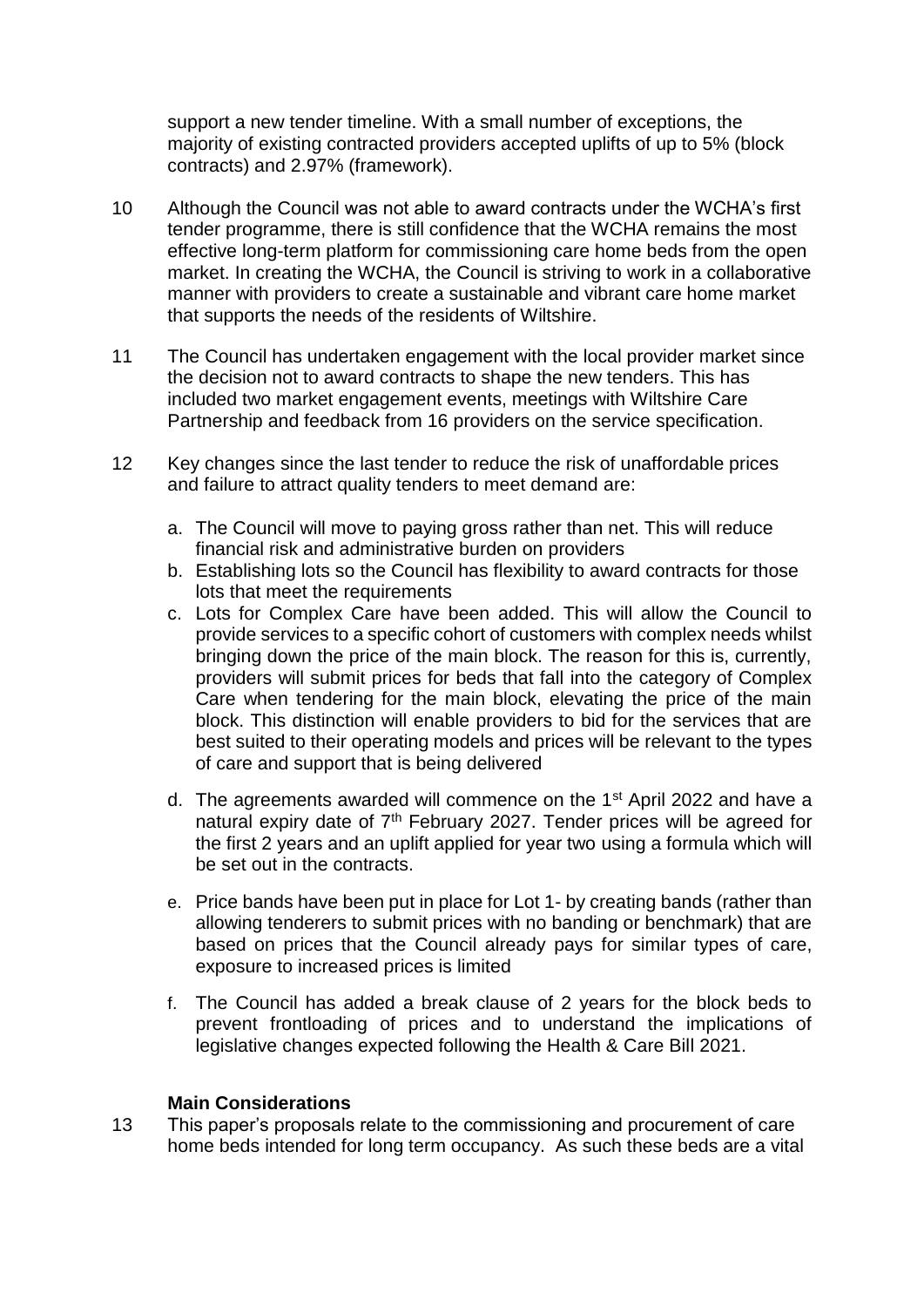support a new tender timeline. With a small number of exceptions, the majority of existing contracted providers accepted uplifts of up to 5% (block contracts) and 2.97% (framework).

- 10 Although the Council was not able to award contracts under the WCHA's first tender programme, there is still confidence that the WCHA remains the most effective long-term platform for commissioning care home beds from the open market. In creating the WCHA, the Council is striving to work in a collaborative manner with providers to create a sustainable and vibrant care home market that supports the needs of the residents of Wiltshire.
- 11 The Council has undertaken engagement with the local provider market since the decision not to award contracts to shape the new tenders. This has included two market engagement events, meetings with Wiltshire Care Partnership and feedback from 16 providers on the service specification.
- 12 Key changes since the last tender to reduce the risk of unaffordable prices and failure to attract quality tenders to meet demand are:
	- a. The Council will move to paying gross rather than net. This will reduce financial risk and administrative burden on providers
	- b. Establishing lots so the Council has flexibility to award contracts for those lots that meet the requirements
	- c. Lots for Complex Care have been added. This will allow the Council to provide services to a specific cohort of customers with complex needs whilst bringing down the price of the main block. The reason for this is, currently, providers will submit prices for beds that fall into the category of Complex Care when tendering for the main block, elevating the price of the main block. This distinction will enable providers to bid for the services that are best suited to their operating models and prices will be relevant to the types of care and support that is being delivered
	- d. The agreements awarded will commence on the 1st April 2022 and have a natural expiry date of  $7<sup>th</sup>$  February 2027. Tender prices will be agreed for the first 2 years and an uplift applied for year two using a formula which will be set out in the contracts.
	- e. Price bands have been put in place for Lot 1- by creating bands (rather than allowing tenderers to submit prices with no banding or benchmark) that are based on prices that the Council already pays for similar types of care, exposure to increased prices is limited
	- f. The Council has added a break clause of 2 years for the block beds to prevent frontloading of prices and to understand the implications of legislative changes expected following the Health & Care Bill 2021.

## **Main Considerations**

13 This paper's proposals relate to the commissioning and procurement of care home beds intended for long term occupancy. As such these beds are a vital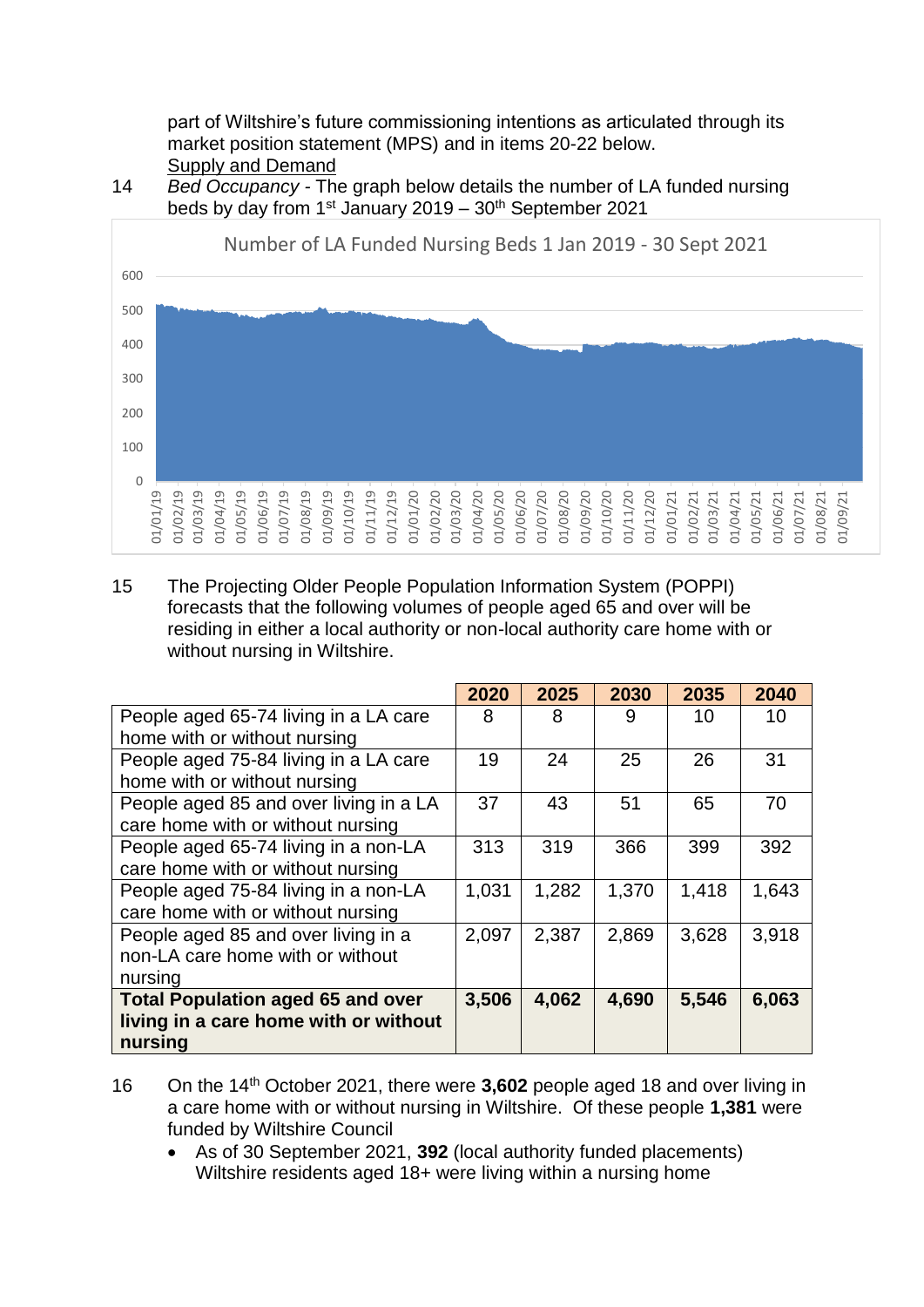part of Wiltshire's future commissioning intentions as articulated through its market position statement (MPS) and in items 20-22 below. **Supply and Demand** 

#### 14 *Bed Occupancy -* The graph below details the number of LA funded nursing beds by day from  $1<sup>st</sup>$  January 2019 –  $30<sup>th</sup>$  September 2021



15 The Projecting Older People Population Information System (POPPI) forecasts that the following volumes of people aged 65 and over will be residing in either a local authority or non-local authority care home with or without nursing in Wiltshire.

|                                          | 2020  | 2025  | 2030  | 2035  | 2040  |
|------------------------------------------|-------|-------|-------|-------|-------|
| People aged 65-74 living in a LA care    | 8     | 8     | 9     | 10    | 10    |
| home with or without nursing             |       |       |       |       |       |
| People aged 75-84 living in a LA care    | 19    | 24    | 25    | 26    | 31    |
| home with or without nursing             |       |       |       |       |       |
| People aged 85 and over living in a LA   | 37    | 43    | 51    | 65    | 70    |
| care home with or without nursing        |       |       |       |       |       |
| People aged 65-74 living in a non-LA     | 313   | 319   | 366   | 399   | 392   |
| care home with or without nursing        |       |       |       |       |       |
| People aged 75-84 living in a non-LA     | 1,031 | 1,282 | 1,370 | 1,418 | 1,643 |
| care home with or without nursing        |       |       |       |       |       |
| People aged 85 and over living in a      | 2,097 | 2,387 | 2,869 | 3,628 | 3,918 |
| non-LA care home with or without         |       |       |       |       |       |
| nursing                                  |       |       |       |       |       |
| <b>Total Population aged 65 and over</b> | 3,506 | 4,062 | 4,690 | 5,546 | 6,063 |
| living in a care home with or without    |       |       |       |       |       |
| nursing                                  |       |       |       |       |       |

- 16 On the 14th October 2021, there were **3,602** people aged 18 and over living in a care home with or without nursing in Wiltshire. Of these people **1,381** were funded by Wiltshire Council
	- As of 30 September 2021, **392** (local authority funded placements) Wiltshire residents aged 18+ were living within a nursing home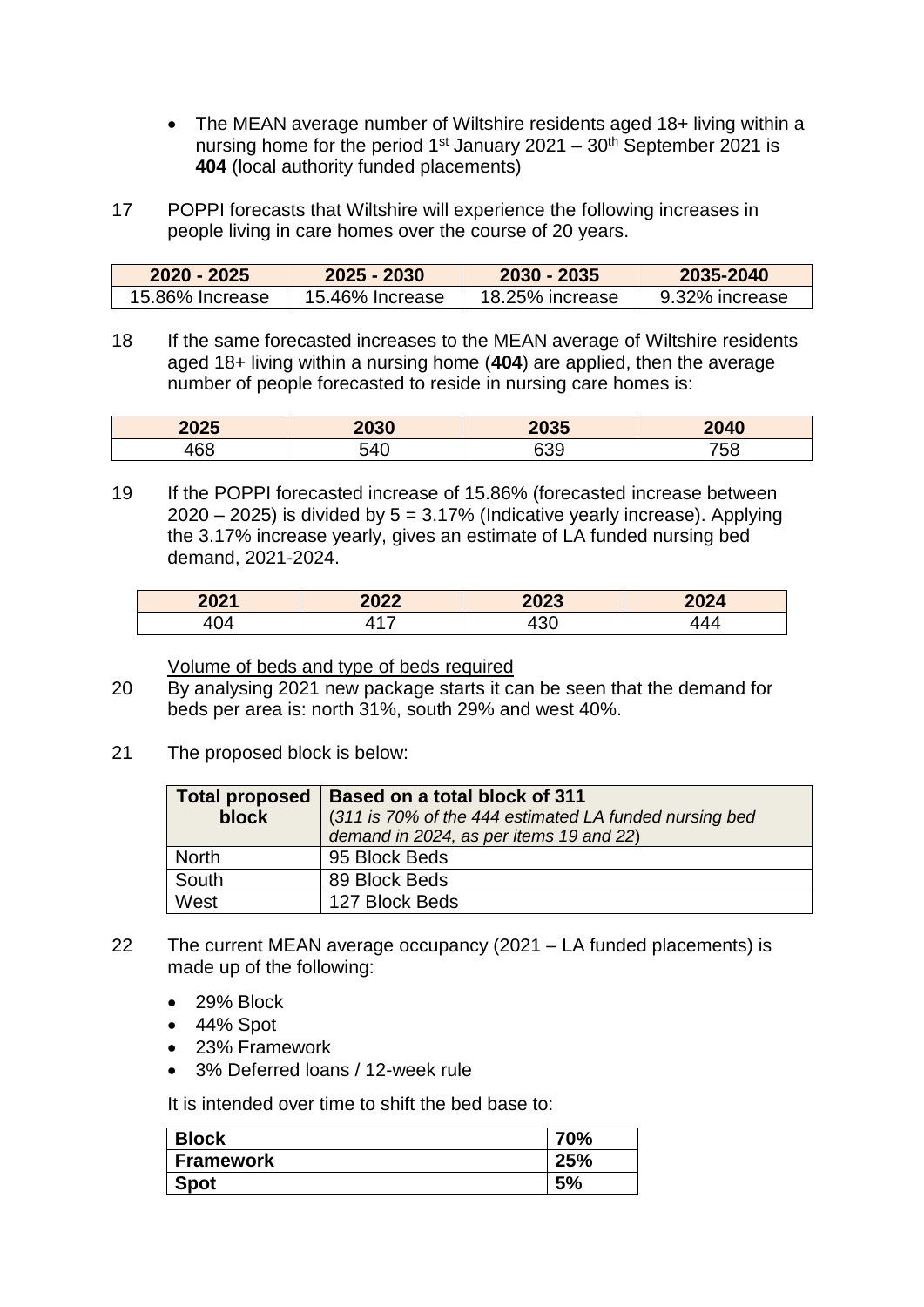- The MEAN average number of Wiltshire residents aged 18+ living within a nursing home for the period  $1<sup>st</sup>$  January 2021 – 30<sup>th</sup> September 2021 is **404** (local authority funded placements)
- 17 POPPI forecasts that Wiltshire will experience the following increases in people living in care homes over the course of 20 years.

| $2020 - 2025$   | $2025 - 2030$   | 2030 - 2035     | 2035-2040      |
|-----------------|-----------------|-----------------|----------------|
| 15.86% Increase | 15.46% Increase | 18.25% increase | 9.32% increase |

18 If the same forecasted increases to the MEAN average of Wiltshire residents aged 18+ living within a nursing home (**404**) are applied, then the average number of people forecasted to reside in nursing care homes is:

| 2025 | 2030      | 2035 | 2040 |
|------|-----------|------|------|
| 160  | ר⊿ה<br>᠇៶ | 339  | 758  |

19 If the POPPI forecasted increase of 15.86% (forecasted increase between  $2020 - 2025$ ) is divided by  $5 = 3.17\%$  (Indicative yearly increase). Applying the 3.17% increase yearly, gives an estimate of LA funded nursing bed demand, 2021-2024.

| 2021 | 2022 | 2023       | 2024 |
|------|------|------------|------|
| 404  | -    | ົດດ<br>+JU |      |

Volume of beds and type of beds required

- 20 By analysing 2021 new package starts it can be seen that the demand for beds per area is: north 31%, south 29% and west 40%.
- 21 The proposed block is below:

| <b>Total proposed</b><br>block | Based on a total block of 311<br>(311 is 70% of the 444 estimated LA funded nursing bed<br>demand in 2024, as per items 19 and 22) |
|--------------------------------|------------------------------------------------------------------------------------------------------------------------------------|
| <b>North</b>                   | 95 Block Beds                                                                                                                      |
| South                          | 89 Block Beds                                                                                                                      |
| West                           | 127 Block Beds                                                                                                                     |

- 22 The current MEAN average occupancy (2021 LA funded placements) is made up of the following:
	- 29% Block
	- $\bullet$  44% Spot
	- 23% Framework
	- 3% Deferred loans / 12-week rule

It is intended over time to shift the bed base to:

| <b>Block</b>     | $70\%$ |
|------------------|--------|
| <b>Framework</b> | `5%    |
| Spot             | 5%     |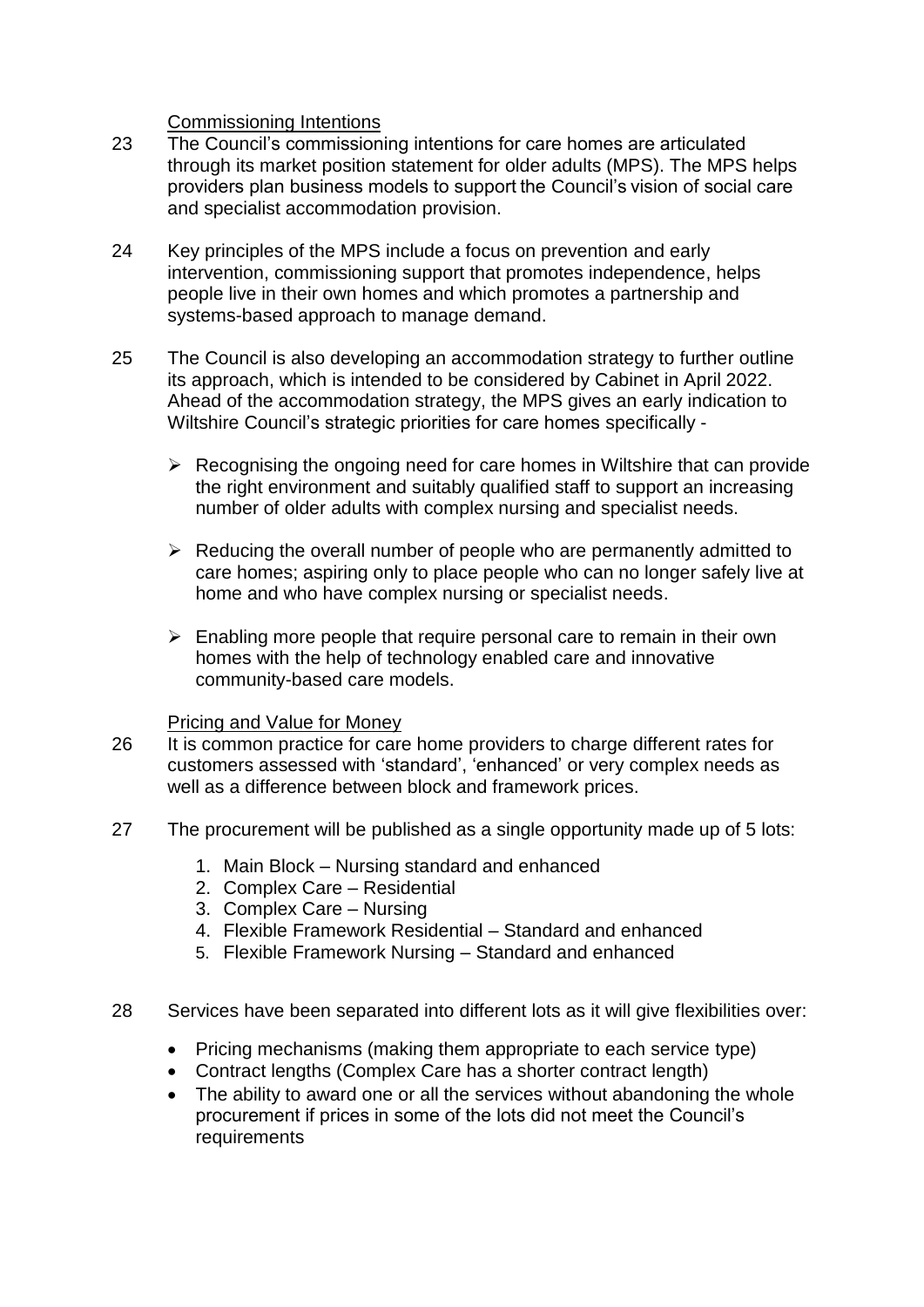## Commissioning Intentions

- 23 The Council's commissioning intentions for care homes are articulated through its market position statement for older adults (MPS). The MPS helps providers plan business models to support the Council's vision of social care and specialist accommodation provision.
- 24 Key principles of the MPS include a focus on prevention and early intervention, commissioning support that promotes independence, helps people live in their own homes and which promotes a partnership and systems-based approach to manage demand.
- 25 The Council is also developing an accommodation strategy to further outline its approach, which is intended to be considered by Cabinet in April 2022. Ahead of the accommodation strategy, the MPS gives an early indication to Wiltshire Council's strategic priorities for care homes specifically -
	- $\triangleright$  Recognising the ongoing need for care homes in Wiltshire that can provide the right environment and suitably qualified staff to support an increasing number of older adults with complex nursing and specialist needs.
	- $\triangleright$  Reducing the overall number of people who are permanently admitted to care homes; aspiring only to place people who can no longer safely live at home and who have complex nursing or specialist needs.
	- $\triangleright$  Enabling more people that require personal care to remain in their own homes with the help of technology enabled care and innovative community-based care models.

#### Pricing and Value for Money

- 26 It is common practice for care home providers to charge different rates for customers assessed with 'standard', 'enhanced' or very complex needs as well as a difference between block and framework prices.
- 27 The procurement will be published as a single opportunity made up of 5 lots:
	- 1. Main Block Nursing standard and enhanced
	- 2. Complex Care Residential
	- 3. Complex Care Nursing
	- 4. Flexible Framework Residential Standard and enhanced
	- 5. Flexible Framework Nursing Standard and enhanced
- 28 Services have been separated into different lots as it will give flexibilities over:
	- Pricing mechanisms (making them appropriate to each service type)
	- Contract lengths (Complex Care has a shorter contract length)
	- The ability to award one or all the services without abandoning the whole procurement if prices in some of the lots did not meet the Council's requirements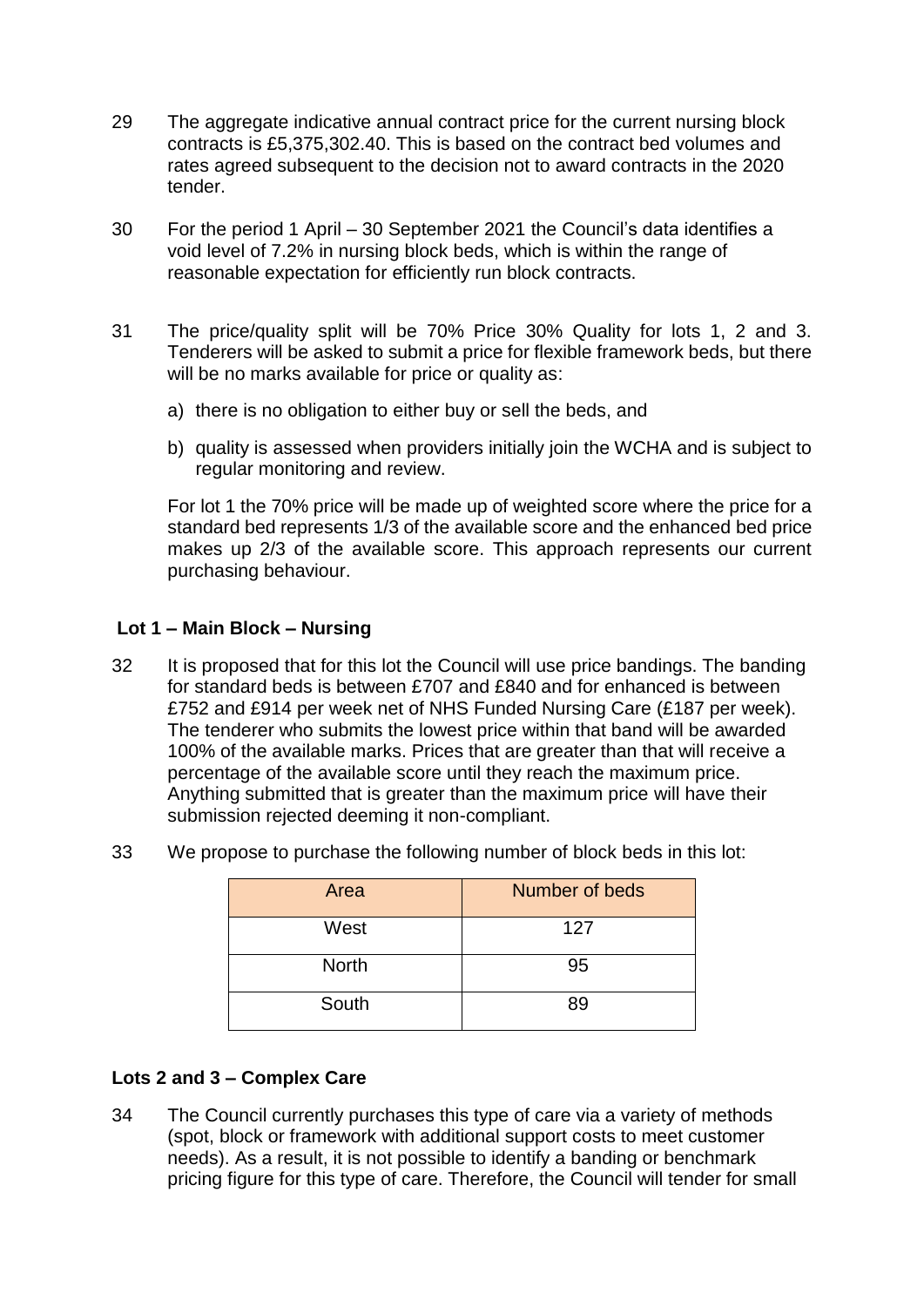- 29 The aggregate indicative annual contract price for the current nursing block contracts is £5,375,302.40. This is based on the contract bed volumes and rates agreed subsequent to the decision not to award contracts in the 2020 tender.
- 30 For the period 1 April 30 September 2021 the Council's data identifies a void level of 7.2% in nursing block beds, which is within the range of reasonable expectation for efficiently run block contracts.
- 31 The price/quality split will be 70% Price 30% Quality for lots 1, 2 and 3. Tenderers will be asked to submit a price for flexible framework beds, but there will be no marks available for price or quality as:
	- a) there is no obligation to either buy or sell the beds, and
	- b) quality is assessed when providers initially join the WCHA and is subject to regular monitoring and review.

For lot 1 the 70% price will be made up of weighted score where the price for a standard bed represents 1/3 of the available score and the enhanced bed price makes up 2/3 of the available score. This approach represents our current purchasing behaviour.

## **Lot 1 – Main Block – Nursing**

32 It is proposed that for this lot the Council will use price bandings. The banding for standard beds is between £707 and £840 and for enhanced is between £752 and £914 per week net of NHS Funded Nursing Care (£187 per week). The tenderer who submits the lowest price within that band will be awarded 100% of the available marks. Prices that are greater than that will receive a percentage of the available score until they reach the maximum price. Anything submitted that is greater than the maximum price will have their submission rejected deeming it non-compliant.

| Area         | Number of beds |
|--------------|----------------|
| West         | 127            |
| <b>North</b> | 95             |
| South        | 89             |

33 We propose to purchase the following number of block beds in this lot:

#### **Lots 2 and 3 – Complex Care**

34 The Council currently purchases this type of care via a variety of methods (spot, block or framework with additional support costs to meet customer needs). As a result, it is not possible to identify a banding or benchmark pricing figure for this type of care. Therefore, the Council will tender for small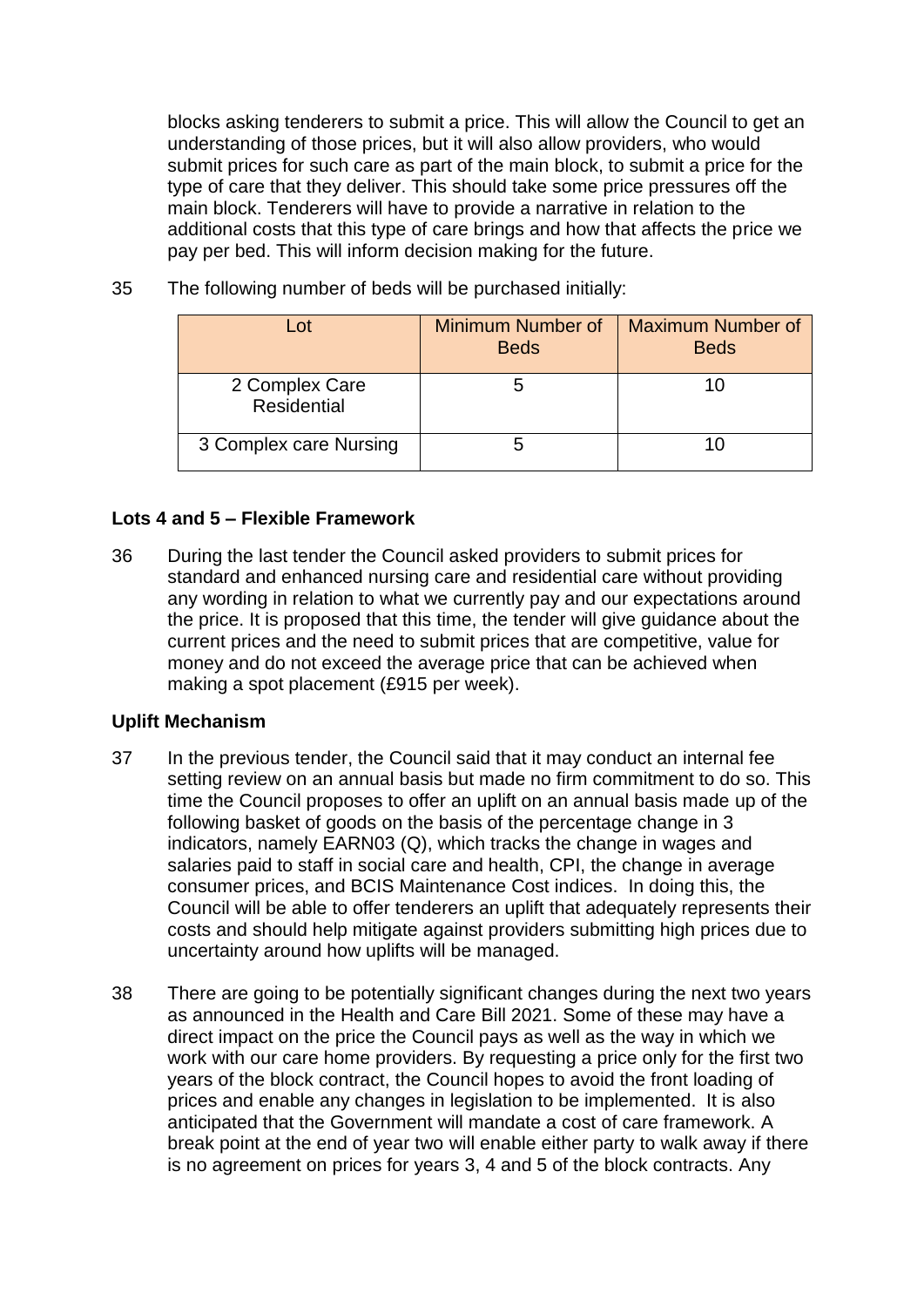blocks asking tenderers to submit a price. This will allow the Council to get an understanding of those prices, but it will also allow providers, who would submit prices for such care as part of the main block, to submit a price for the type of care that they deliver. This should take some price pressures off the main block. Tenderers will have to provide a narrative in relation to the additional costs that this type of care brings and how that affects the price we pay per bed. This will inform decision making for the future.

| l ot                                 | <b>Minimum Number of</b><br><b>Beds</b> | <b>Maximum Number of</b><br><b>Beds</b> |
|--------------------------------------|-----------------------------------------|-----------------------------------------|
| 2 Complex Care<br><b>Residential</b> |                                         |                                         |
| 3 Complex care Nursing               |                                         |                                         |

35 The following number of beds will be purchased initially:

## **Lots 4 and 5 – Flexible Framework**

36 During the last tender the Council asked providers to submit prices for standard and enhanced nursing care and residential care without providing any wording in relation to what we currently pay and our expectations around the price. It is proposed that this time, the tender will give guidance about the current prices and the need to submit prices that are competitive, value for money and do not exceed the average price that can be achieved when making a spot placement (£915 per week).

#### **Uplift Mechanism**

- 37 In the previous tender, the Council said that it may conduct an internal fee setting review on an annual basis but made no firm commitment to do so. This time the Council proposes to offer an uplift on an annual basis made up of the following basket of goods on the basis of the percentage change in 3 indicators, namely EARN03 (Q), which tracks the change in wages and salaries paid to staff in social care and health, CPI, the change in average consumer prices, and BCIS Maintenance Cost indices. In doing this, the Council will be able to offer tenderers an uplift that adequately represents their costs and should help mitigate against providers submitting high prices due to uncertainty around how uplifts will be managed.
- 38 There are going to be potentially significant changes during the next two years as announced in the Health and Care Bill 2021. Some of these may have a direct impact on the price the Council pays as well as the way in which we work with our care home providers. By requesting a price only for the first two years of the block contract, the Council hopes to avoid the front loading of prices and enable any changes in legislation to be implemented. It is also anticipated that the Government will mandate a cost of care framework. A break point at the end of year two will enable either party to walk away if there is no agreement on prices for years 3, 4 and 5 of the block contracts. Any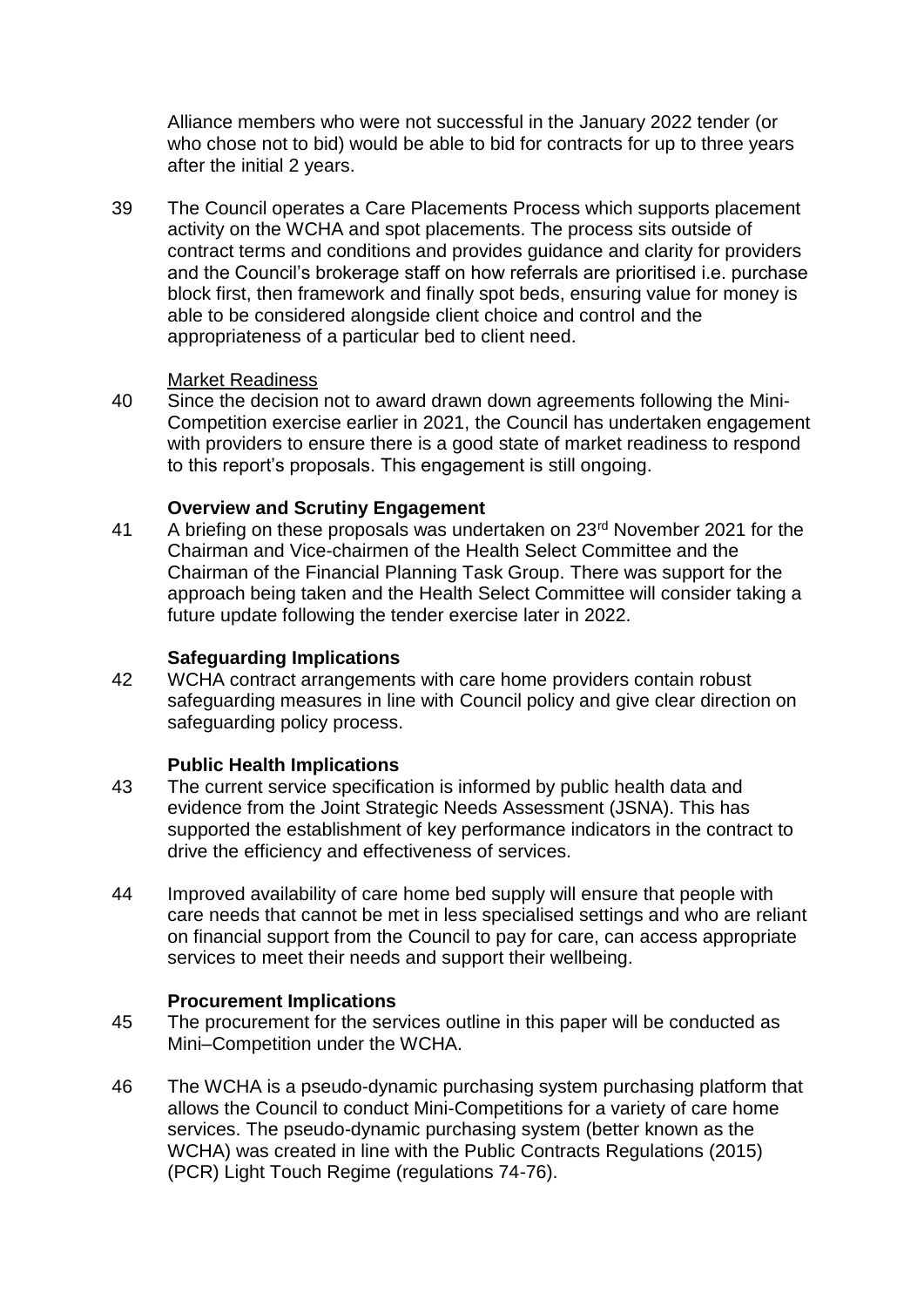Alliance members who were not successful in the January 2022 tender (or who chose not to bid) would be able to bid for contracts for up to three years after the initial 2 years.

39 The Council operates a Care Placements Process which supports placement activity on the WCHA and spot placements. The process sits outside of contract terms and conditions and provides guidance and clarity for providers and the Council's brokerage staff on how referrals are prioritised i.e. purchase block first, then framework and finally spot beds, ensuring value for money is able to be considered alongside client choice and control and the appropriateness of a particular bed to client need.

## Market Readiness

40 Since the decision not to award drawn down agreements following the Mini-Competition exercise earlier in 2021, the Council has undertaken engagement with providers to ensure there is a good state of market readiness to respond to this report's proposals. This engagement is still ongoing.

## **Overview and Scrutiny Engagement**

41 A briefing on these proposals was undertaken on 23<sup>rd</sup> November 2021 for the Chairman and Vice-chairmen of the Health Select Committee and the Chairman of the Financial Planning Task Group. There was support for the approach being taken and the Health Select Committee will consider taking a future update following the tender exercise later in 2022.

## **Safeguarding Implications**

42 WCHA contract arrangements with care home providers contain robust safeguarding measures in line with Council policy and give clear direction on safeguarding policy process.

## **Public Health Implications**

- 43 The current service specification is informed by public health data and evidence from the Joint Strategic Needs Assessment (JSNA). This has supported the establishment of key performance indicators in the contract to drive the efficiency and effectiveness of services.
- 44 Improved availability of care home bed supply will ensure that people with care needs that cannot be met in less specialised settings and who are reliant on financial support from the Council to pay for care, can access appropriate services to meet their needs and support their wellbeing.

#### **Procurement Implications**

- 45 The procurement for the services outline in this paper will be conducted as Mini–Competition under the WCHA.
- 46 The WCHA is a pseudo-dynamic purchasing system purchasing platform that allows the Council to conduct Mini-Competitions for a variety of care home services. The pseudo-dynamic purchasing system (better known as the WCHA) was created in line with the Public Contracts Regulations (2015) (PCR) Light Touch Regime (regulations 74-76).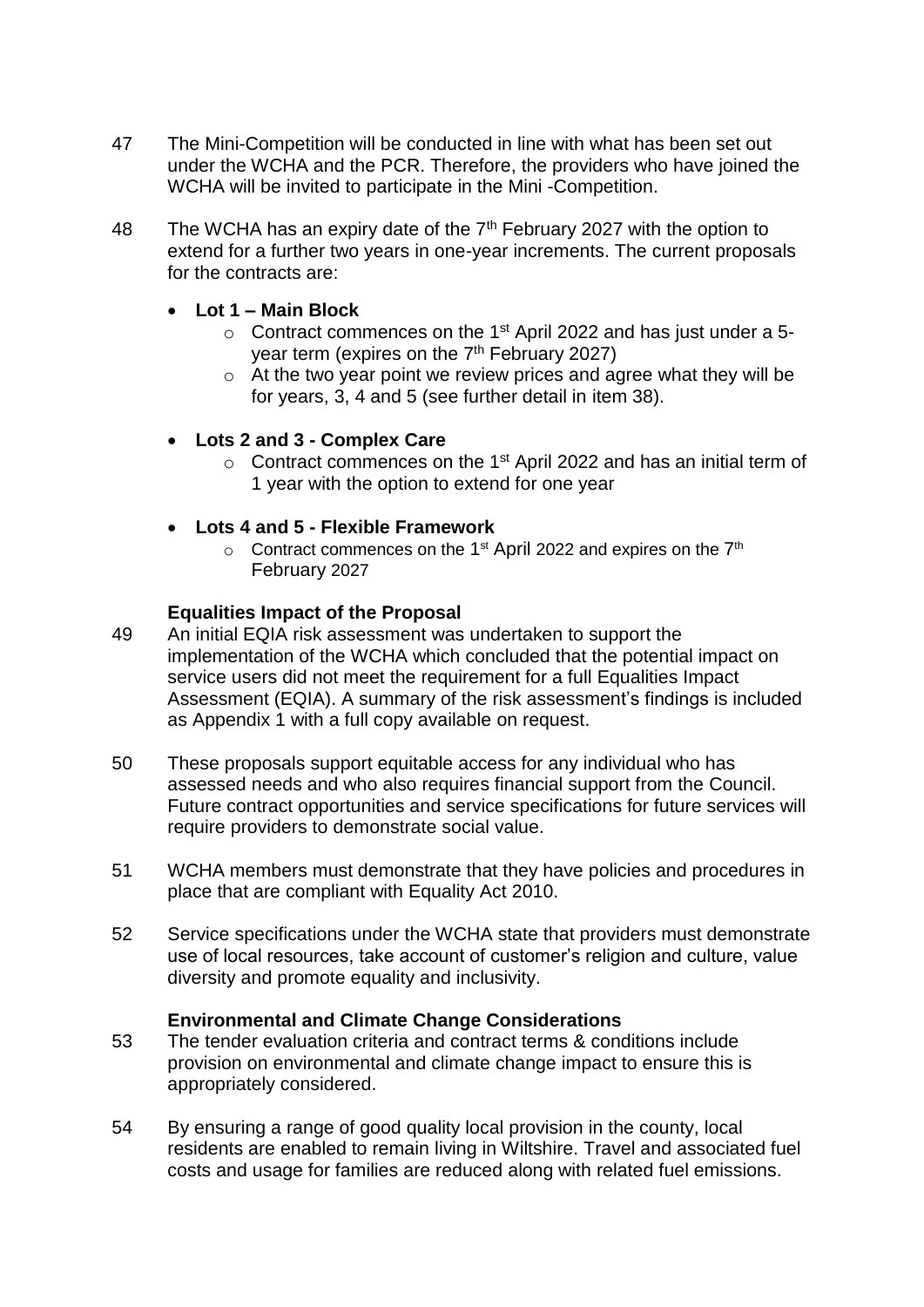- 47 The Mini-Competition will be conducted in line with what has been set out under the WCHA and the PCR. Therefore, the providers who have joined the WCHA will be invited to participate in the Mini -Competition.
- 48 The WCHA has an expiry date of the  $7<sup>th</sup>$  February 2027 with the option to extend for a further two years in one-year increments. The current proposals for the contracts are:

## **Lot 1 – Main Block**

- $\circ$  Contract commences on the 1<sup>st</sup> April 2022 and has just under a 5year term (expires on the 7<sup>th</sup> February 2027)
- $\circ$  At the two year point we review prices and agree what they will be for years, 3, 4 and 5 (see further detail in item 38).
- **Lots 2 and 3 - Complex Care** 
	- $\circ$  Contract commences on the 1<sup>st</sup> April 2022 and has an initial term of 1 year with the option to extend for one year
- **Lots 4 and 5 - Flexible Framework**
	- $\circ$  Contract commences on the 1<sup>st</sup> April 2022 and expires on the 7<sup>th</sup> February 2027

# **Equalities Impact of the Proposal**

- 49 An initial EQIA risk assessment was undertaken to support the implementation of the WCHA which concluded that the potential impact on service users did not meet the requirement for a full Equalities Impact Assessment (EQIA). A summary of the risk assessment's findings is included as Appendix 1 with a full copy available on request.
- 50 These proposals support equitable access for any individual who has assessed needs and who also requires financial support from the Council. Future contract opportunities and service specifications for future services will require providers to demonstrate social value.
- 51 WCHA members must demonstrate that they have policies and procedures in place that are compliant with Equality Act 2010.
- 52 Service specifications under the WCHA state that providers must demonstrate use of local resources, take account of customer's religion and culture, value diversity and promote equality and inclusivity.

## **Environmental and Climate Change Considerations**

- 53 The tender evaluation criteria and contract terms & conditions include provision on environmental and climate change impact to ensure this is appropriately considered.
- 54 By ensuring a range of good quality local provision in the county, local residents are enabled to remain living in Wiltshire. Travel and associated fuel costs and usage for families are reduced along with related fuel emissions.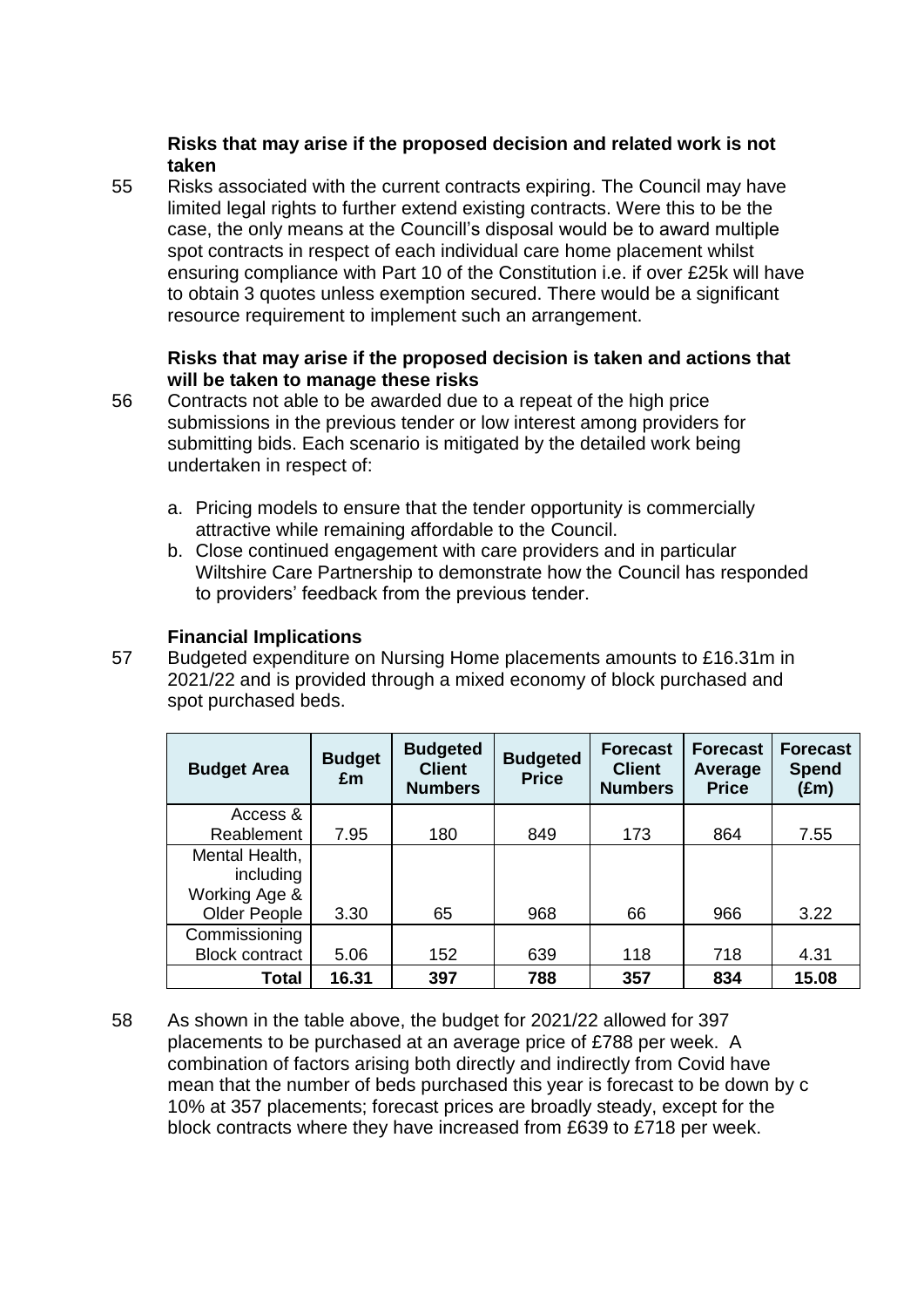# **Risks that may arise if the proposed decision and related work is not taken**

55 Risks associated with the current contracts expiring. The Council may have limited legal rights to further extend existing contracts. Were this to be the case, the only means at the Councill's disposal would be to award multiple spot contracts in respect of each individual care home placement whilst ensuring compliance with Part 10 of the Constitution i.e. if over £25k will have to obtain 3 quotes unless exemption secured. There would be a significant resource requirement to implement such an arrangement.

# **Risks that may arise if the proposed decision is taken and actions that will be taken to manage these risks**

- 56 Contracts not able to be awarded due to a repeat of the high price submissions in the previous tender or low interest among providers for submitting bids. Each scenario is mitigated by the detailed work being undertaken in respect of:
	- a. Pricing models to ensure that the tender opportunity is commercially attractive while remaining affordable to the Council.
	- b. Close continued engagement with care providers and in particular Wiltshire Care Partnership to demonstrate how the Council has responded to providers' feedback from the previous tender.

# **Financial Implications**

57 Budgeted expenditure on Nursing Home placements amounts to £16.31m in 2021/22 and is provided through a mixed economy of block purchased and spot purchased beds.

| <b>Budget Area</b>                           | <b>Budget</b><br>£m | <b>Budgeted</b><br><b>Client</b><br><b>Numbers</b> | <b>Budgeted</b><br><b>Price</b> | <b>Forecast</b><br><b>Client</b><br><b>Numbers</b> | <b>Forecast</b><br>Average<br><b>Price</b> | <b>Forecast</b><br><b>Spend</b><br>(£m) |
|----------------------------------------------|---------------------|----------------------------------------------------|---------------------------------|----------------------------------------------------|--------------------------------------------|-----------------------------------------|
| Access &                                     |                     |                                                    |                                 |                                                    |                                            |                                         |
| Reablement                                   | 7.95                | 180                                                | 849                             | 173                                                | 864                                        | 7.55                                    |
| Mental Health,<br>including<br>Working Age & |                     |                                                    |                                 |                                                    |                                            |                                         |
| Older People                                 | 3.30                | 65                                                 | 968                             | 66                                                 | 966                                        | 3.22                                    |
| Commissioning<br><b>Block contract</b>       | 5.06                | 152                                                | 639                             | 118                                                | 718                                        | 4.31                                    |
| <b>Total</b>                                 | 16.31               | 397                                                | 788                             | 357                                                | 834                                        | 15.08                                   |

58 As shown in the table above, the budget for 2021/22 allowed for 397 placements to be purchased at an average price of £788 per week. A combination of factors arising both directly and indirectly from Covid have mean that the number of beds purchased this year is forecast to be down by c 10% at 357 placements; forecast prices are broadly steady, except for the block contracts where they have increased from £639 to £718 per week.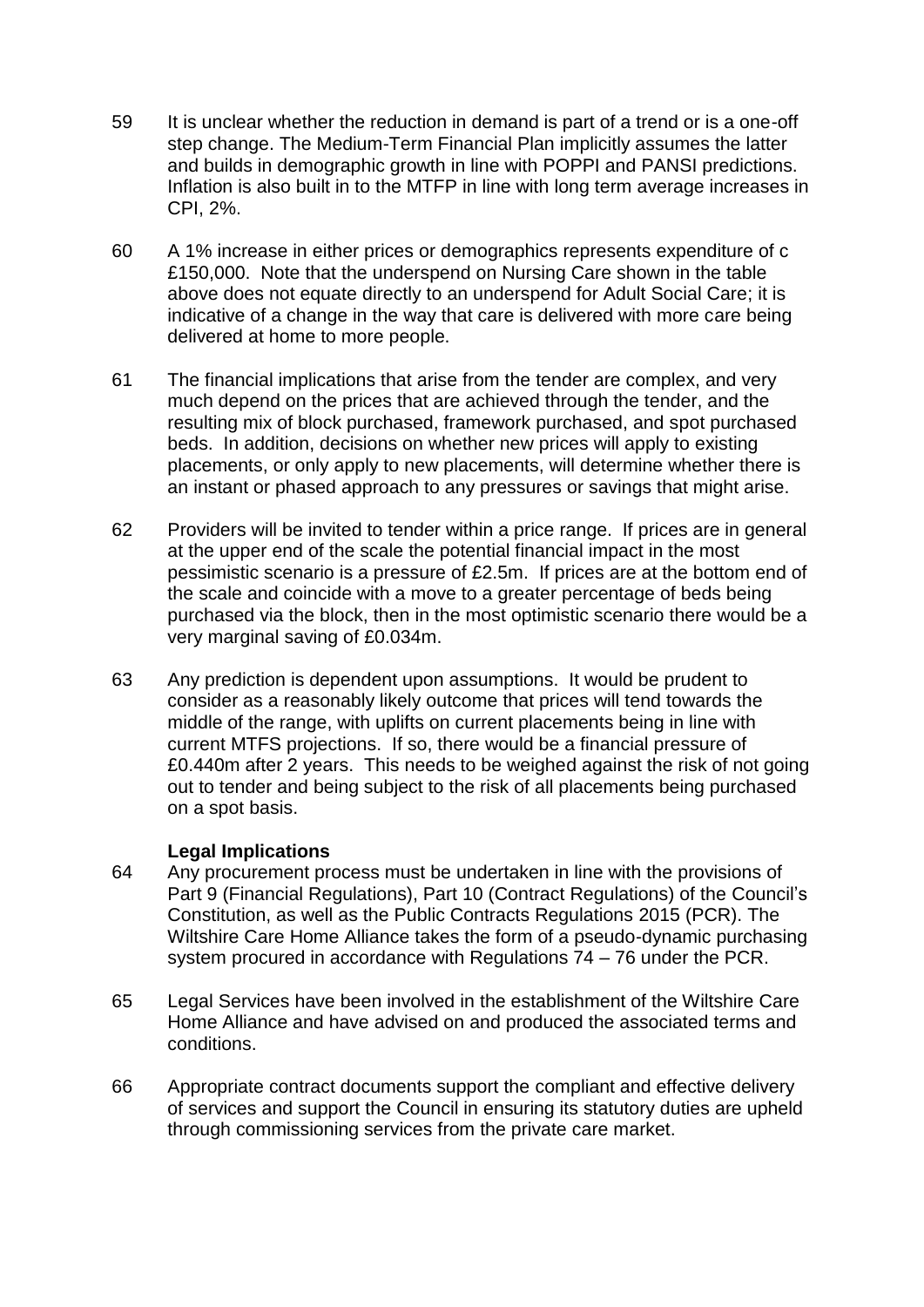- 59 It is unclear whether the reduction in demand is part of a trend or is a one-off step change. The Medium-Term Financial Plan implicitly assumes the latter and builds in demographic growth in line with POPPI and PANSI predictions. Inflation is also built in to the MTFP in line with long term average increases in CPI, 2%.
- 60 A 1% increase in either prices or demographics represents expenditure of c £150,000. Note that the underspend on Nursing Care shown in the table above does not equate directly to an underspend for Adult Social Care; it is indicative of a change in the way that care is delivered with more care being delivered at home to more people.
- 61 The financial implications that arise from the tender are complex, and very much depend on the prices that are achieved through the tender, and the resulting mix of block purchased, framework purchased, and spot purchased beds. In addition, decisions on whether new prices will apply to existing placements, or only apply to new placements, will determine whether there is an instant or phased approach to any pressures or savings that might arise.
- 62 Providers will be invited to tender within a price range. If prices are in general at the upper end of the scale the potential financial impact in the most pessimistic scenario is a pressure of £2.5m. If prices are at the bottom end of the scale and coincide with a move to a greater percentage of beds being purchased via the block, then in the most optimistic scenario there would be a very marginal saving of £0.034m.
- 63 Any prediction is dependent upon assumptions. It would be prudent to consider as a reasonably likely outcome that prices will tend towards the middle of the range, with uplifts on current placements being in line with current MTFS projections. If so, there would be a financial pressure of £0.440m after 2 years. This needs to be weighed against the risk of not going out to tender and being subject to the risk of all placements being purchased on a spot basis.

## **Legal Implications**

- 64 Any procurement process must be undertaken in line with the provisions of Part 9 (Financial Regulations), Part 10 (Contract Regulations) of the Council's Constitution, as well as the Public Contracts Regulations 2015 (PCR). The Wiltshire Care Home Alliance takes the form of a pseudo-dynamic purchasing system procured in accordance with Regulations 74 – 76 under the PCR.
- 65 Legal Services have been involved in the establishment of the Wiltshire Care Home Alliance and have advised on and produced the associated terms and conditions.
- 66 Appropriate contract documents support the compliant and effective delivery of services and support the Council in ensuring its statutory duties are upheld through commissioning services from the private care market.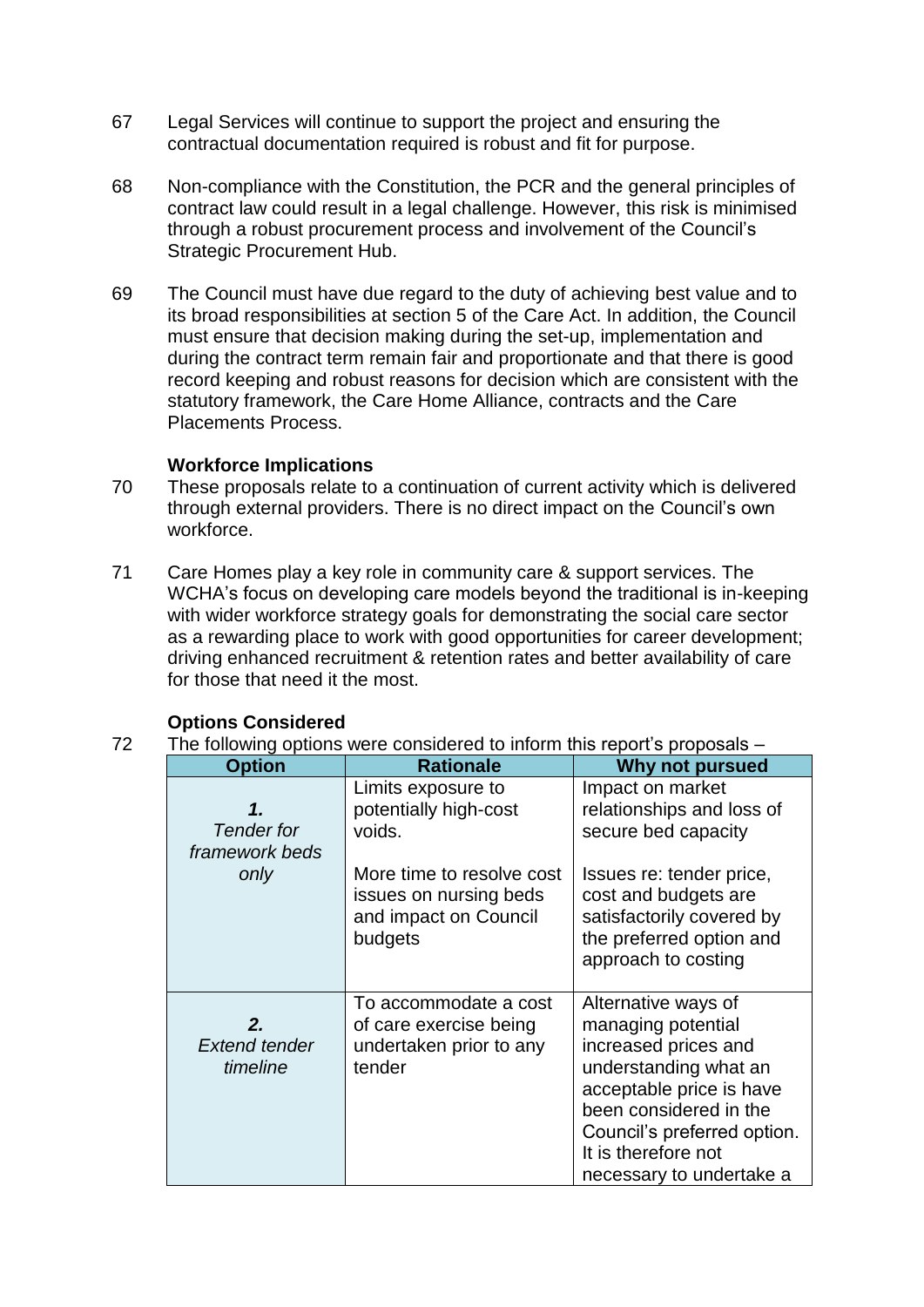- 67 Legal Services will continue to support the project and ensuring the contractual documentation required is robust and fit for purpose.
- 68 Non-compliance with the Constitution, the PCR and the general principles of contract law could result in a legal challenge. However, this risk is minimised through a robust procurement process and involvement of the Council's Strategic Procurement Hub.
- 69 The Council must have due regard to the duty of achieving best value and to its broad responsibilities at section 5 of the Care Act. In addition, the Council must ensure that decision making during the set-up, implementation and during the contract term remain fair and proportionate and that there is good record keeping and robust reasons for decision which are consistent with the statutory framework, the Care Home Alliance, contracts and the Care Placements Process.

## **Workforce Implications**

- 70 These proposals relate to a continuation of current activity which is delivered through external providers. There is no direct impact on the Council's own workforce.
- 71 Care Homes play a key role in community care & support services. The WCHA's focus on developing care models beyond the traditional is in-keeping with wider workforce strategy goals for demonstrating the social care sector as a rewarding place to work with good opportunities for career development; driving enhanced recruitment & retention rates and better availability of care for those that need it the most.

| <b>Options Considered</b> |
|---------------------------|
|                           |

72 The following options were considered to inform this report's proposals –

| <b>Option</b>                             | <b>Rationale</b>                                                                        | <b>Why not pursued</b>                                                                                                                                                                                                             |
|-------------------------------------------|-----------------------------------------------------------------------------------------|------------------------------------------------------------------------------------------------------------------------------------------------------------------------------------------------------------------------------------|
| 1.<br><b>Tender</b> for<br>framework beds | Limits exposure to<br>potentially high-cost<br>voids.                                   | Impact on market<br>relationships and loss of<br>secure bed capacity                                                                                                                                                               |
| only                                      | More time to resolve cost<br>issues on nursing beds<br>and impact on Council<br>budgets | Issues re: tender price,<br>cost and budgets are<br>satisfactorily covered by<br>the preferred option and<br>approach to costing                                                                                                   |
| 2.<br><b>Extend tender</b><br>timeline    | To accommodate a cost<br>of care exercise being<br>undertaken prior to any<br>tender    | Alternative ways of<br>managing potential<br>increased prices and<br>understanding what an<br>acceptable price is have<br>been considered in the<br>Council's preferred option.<br>It is therefore not<br>necessary to undertake a |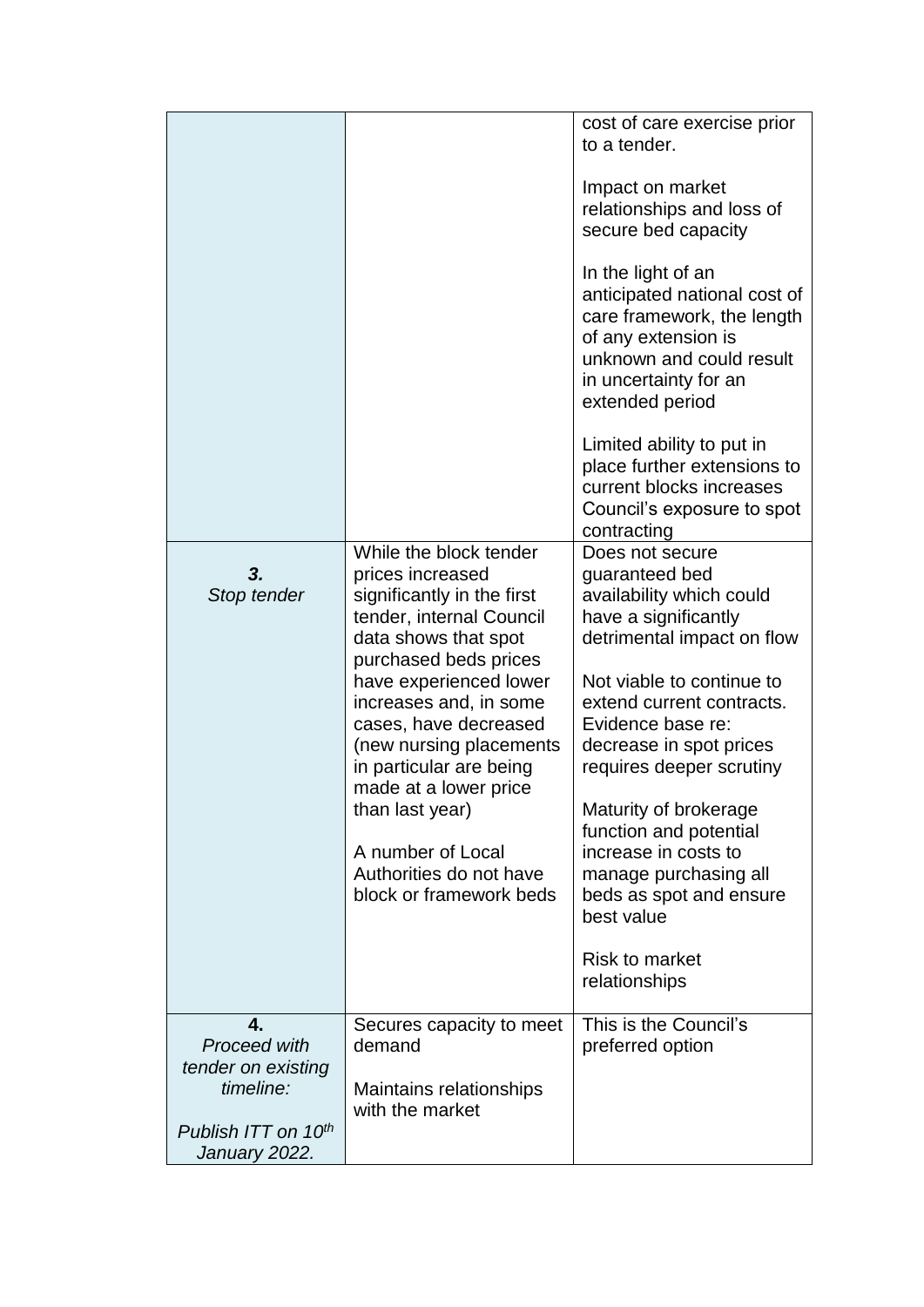|                                                                     |                                                                                                                                                                                                                                                                                                                                                                                                                 | cost of care exercise prior<br>to a tender.                                                                                                                                                                                                                                                                                                                                                                                                      |
|---------------------------------------------------------------------|-----------------------------------------------------------------------------------------------------------------------------------------------------------------------------------------------------------------------------------------------------------------------------------------------------------------------------------------------------------------------------------------------------------------|--------------------------------------------------------------------------------------------------------------------------------------------------------------------------------------------------------------------------------------------------------------------------------------------------------------------------------------------------------------------------------------------------------------------------------------------------|
|                                                                     |                                                                                                                                                                                                                                                                                                                                                                                                                 | Impact on market<br>relationships and loss of<br>secure bed capacity                                                                                                                                                                                                                                                                                                                                                                             |
|                                                                     |                                                                                                                                                                                                                                                                                                                                                                                                                 | In the light of an<br>anticipated national cost of<br>care framework, the length<br>of any extension is<br>unknown and could result<br>in uncertainty for an<br>extended period                                                                                                                                                                                                                                                                  |
|                                                                     |                                                                                                                                                                                                                                                                                                                                                                                                                 | Limited ability to put in<br>place further extensions to<br>current blocks increases<br>Council's exposure to spot<br>contracting                                                                                                                                                                                                                                                                                                                |
| 3.<br>Stop tender                                                   | While the block tender<br>prices increased<br>significantly in the first<br>tender, internal Council<br>data shows that spot<br>purchased beds prices<br>have experienced lower<br>increases and, in some<br>cases, have decreased<br>(new nursing placements<br>in particular are being<br>made at a lower price<br>than last year)<br>A number of Local<br>Authorities do not have<br>block or framework beds | Does not secure<br>guaranteed bed<br>availability which could<br>have a significantly<br>detrimental impact on flow<br>Not viable to continue to<br>extend current contracts.<br>Evidence base re:<br>decrease in spot prices<br>requires deeper scrutiny<br>Maturity of brokerage<br>function and potential<br>increase in costs to<br>manage purchasing all<br>beds as spot and ensure<br>best value<br><b>Risk to market</b><br>relationships |
| $\mathbf{4}_{-}$<br>Proceed with<br>tender on existing<br>timeline: | Secures capacity to meet<br>demand<br>Maintains relationships<br>with the market                                                                                                                                                                                                                                                                                                                                | This is the Council's<br>preferred option                                                                                                                                                                                                                                                                                                                                                                                                        |
| Publish ITT on 10 <sup>th</sup><br>January 2022.                    |                                                                                                                                                                                                                                                                                                                                                                                                                 |                                                                                                                                                                                                                                                                                                                                                                                                                                                  |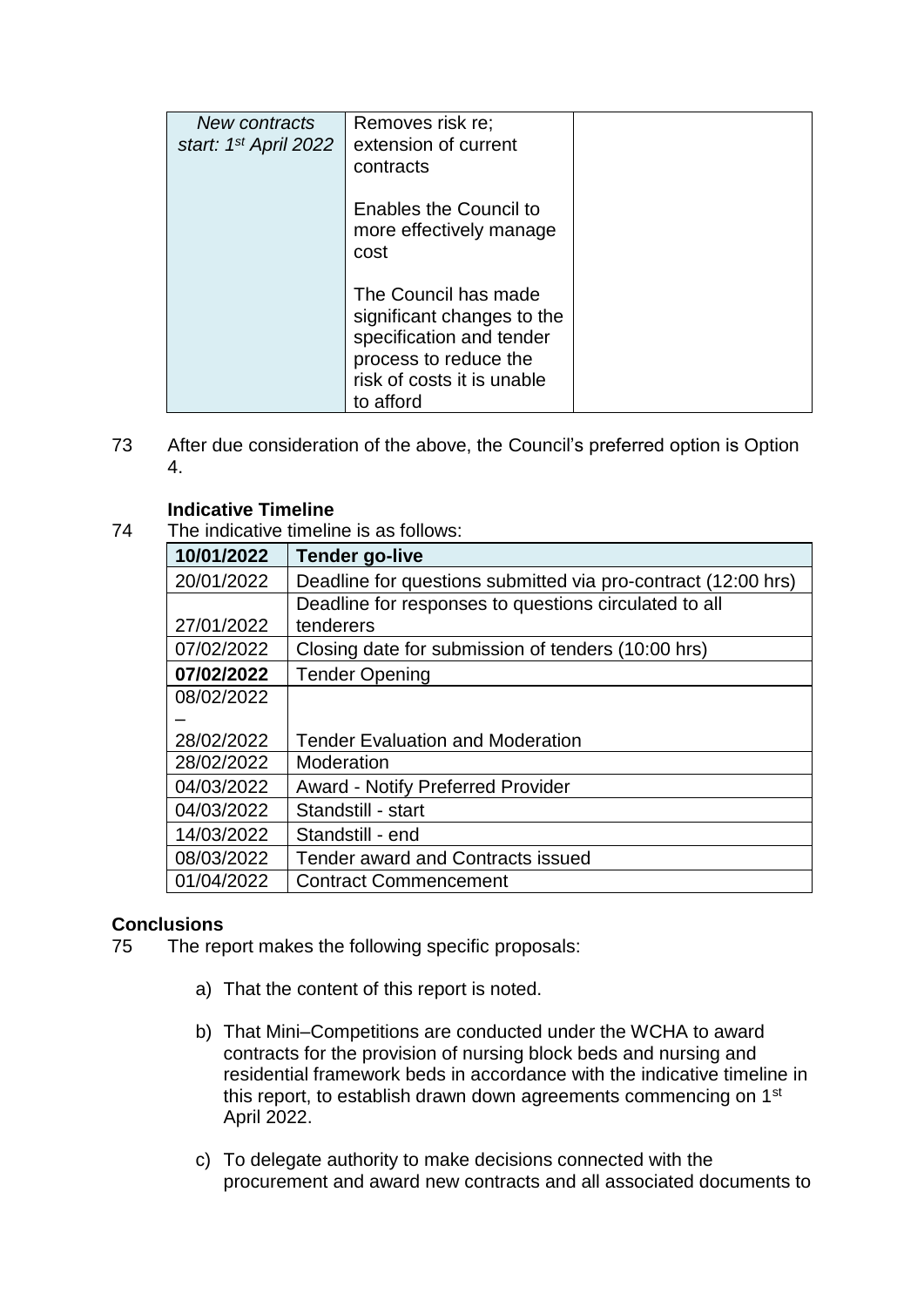| New contracts<br>start: 1 <sup>st</sup> April 2022 | Removes risk re;<br>extension of current<br>contracts                                                                                              |  |
|----------------------------------------------------|----------------------------------------------------------------------------------------------------------------------------------------------------|--|
|                                                    | <b>Enables the Council to</b><br>more effectively manage<br>cost                                                                                   |  |
|                                                    | The Council has made<br>significant changes to the<br>specification and tender<br>process to reduce the<br>risk of costs it is unable<br>to afford |  |

73 After due consideration of the above, the Council's preferred option is Option 4.

# **Indicative Timeline**

74 The indicative timeline is as follows:

| 10/01/2022 | <b>Tender go-live</b>                                         |
|------------|---------------------------------------------------------------|
| 20/01/2022 | Deadline for questions submitted via pro-contract (12:00 hrs) |
|            | Deadline for responses to questions circulated to all         |
| 27/01/2022 | tenderers                                                     |
| 07/02/2022 | Closing date for submission of tenders (10:00 hrs)            |
| 07/02/2022 | <b>Tender Opening</b>                                         |
| 08/02/2022 |                                                               |
|            |                                                               |
| 28/02/2022 | <b>Tender Evaluation and Moderation</b>                       |
| 28/02/2022 | Moderation                                                    |
| 04/03/2022 | <b>Award - Notify Preferred Provider</b>                      |
| 04/03/2022 | Standstill - start                                            |
| 14/03/2022 | Standstill - end                                              |
| 08/03/2022 | Tender award and Contracts issued                             |
| 01/04/2022 | <b>Contract Commencement</b>                                  |

# **Conclusions**

- 75 The report makes the following specific proposals:
	- a) That the content of this report is noted.
	- b) That Mini–Competitions are conducted under the WCHA to award contracts for the provision of nursing block beds and nursing and residential framework beds in accordance with the indicative timeline in this report, to establish drawn down agreements commencing on 1<sup>st</sup> April 2022.
	- c) To delegate authority to make decisions connected with the procurement and award new contracts and all associated documents to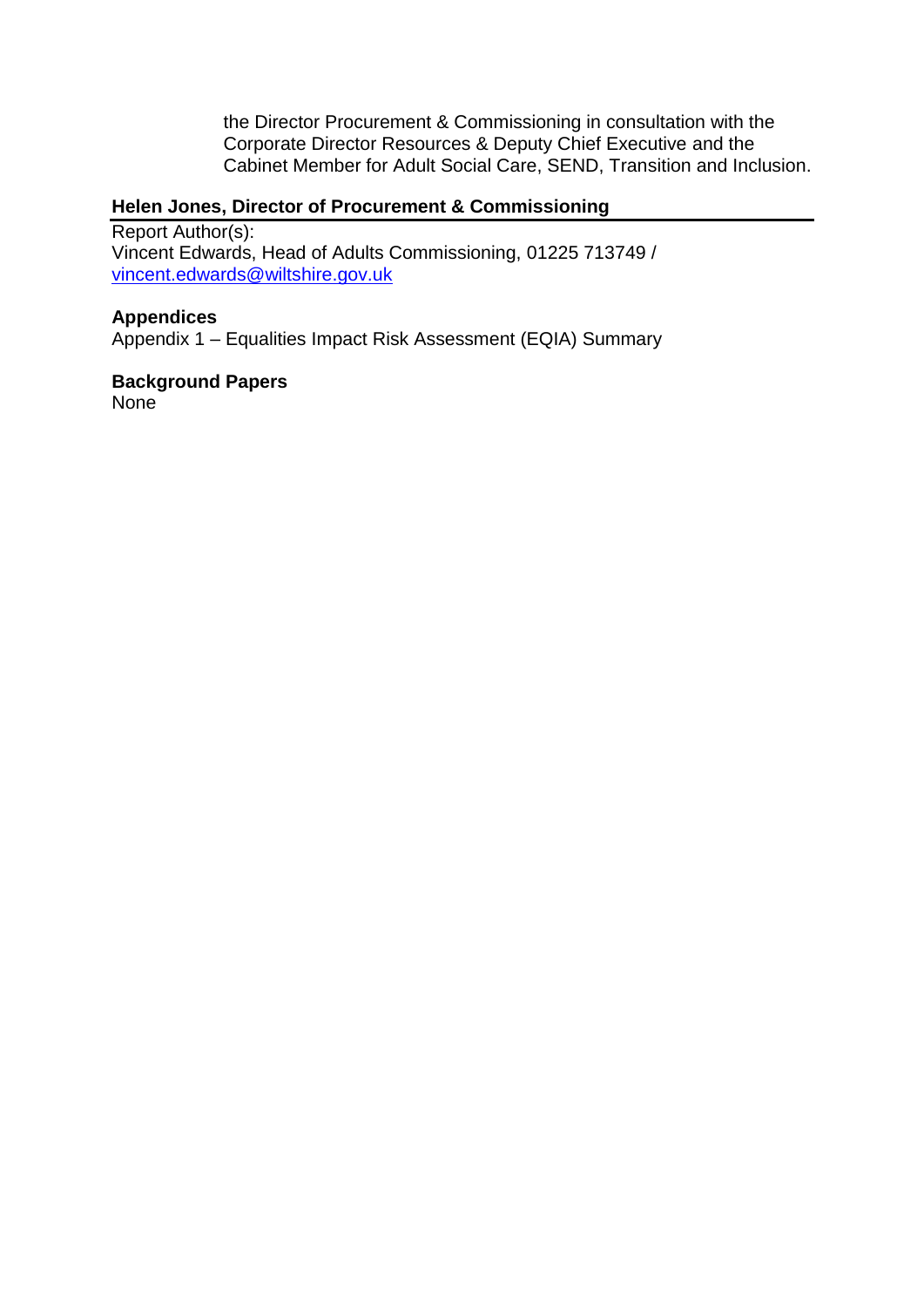the Director Procurement & Commissioning in consultation with the Corporate Director Resources & Deputy Chief Executive and the Cabinet Member for Adult Social Care, SEND, Transition and Inclusion.

# **Helen Jones, Director of Procurement & Commissioning**

Report Author(s): Vincent Edwards, Head of Adults Commissioning, 01225 713749 / [vincent.edwards@wiltshire.gov.uk](mailto:vincent.edwards@wiltshire.gov.uk)

## **Appendices**

Appendix 1 – Equalities Impact Risk Assessment (EQIA) Summary

#### **Background Papers**  None